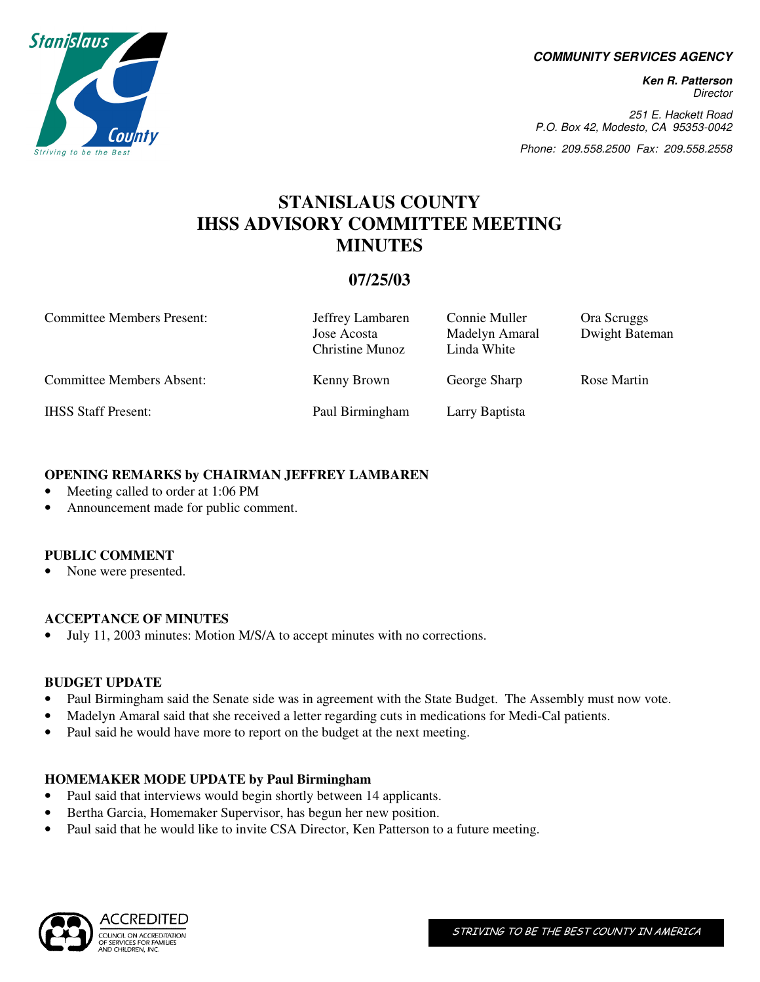**COMMUNITY SERVICES AGENCY** 

**Ken R. Patterson**  Director

251 E. Hackett Road P.O. Box 42, Modesto, CA 95353-0042

Phone: 209.558.2500 Fax: 209.558.2558

# **STANISLAUS COUNTY IHSS ADVISORY COMMITTEE MEETING MINUTES**

# **07/25/03**

| <b>Committee Members Present:</b> | Jeffrey Lambaren<br>Jose Acosta<br><b>Christine Munoz</b> | Connie Muller<br>Madelyn Amaral<br>Linda White | Ora Scruggs<br>Dwight Bateman |
|-----------------------------------|-----------------------------------------------------------|------------------------------------------------|-------------------------------|
| <b>Committee Members Absent:</b>  | Kenny Brown                                               | George Sharp                                   | Rose Martin                   |
| <b>IHSS Staff Present:</b>        | Paul Birmingham                                           | Larry Baptista                                 |                               |

#### **OPENING REMARKS by CHAIRMAN JEFFREY LAMBAREN**

- Meeting called to order at 1:06 PM
- Announcement made for public comment.

#### **PUBLIC COMMENT**

• None were presented.

# **ACCEPTANCE OF MINUTES**

• July 11, 2003 minutes: Motion M/S/A to accept minutes with no corrections.

#### **BUDGET UPDATE**

- Paul Birmingham said the Senate side was in agreement with the State Budget. The Assembly must now vote.
- Madelyn Amaral said that she received a letter regarding cuts in medications for Medi-Cal patients.
- Paul said he would have more to report on the budget at the next meeting.

# **HOMEMAKER MODE UPDATE by Paul Birmingham**

- Paul said that interviews would begin shortly between 14 applicants.
- Bertha Garcia, Homemaker Supervisor, has begun her new position.
- Paul said that he would like to invite CSA Director, Ken Patterson to a future meeting.